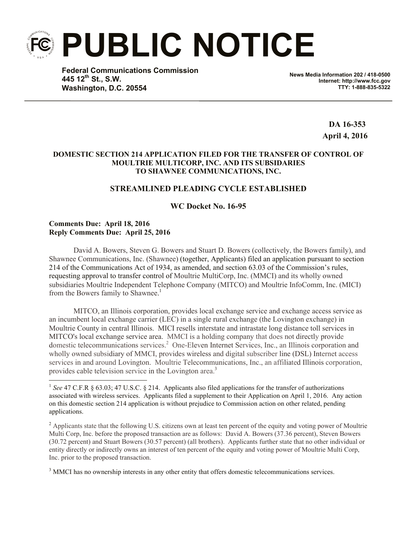**PUBLIC NOTICE**

**Federal Communications Commission 445 12th St., S.W. Washington, D.C. 20554**

**News Media Information 202 / 418-0500 Internet: http://www.fcc.gov TTY: 1-888-835-5322**

> **DA 16-353 April 4, 2016**

## **DOMESTIC SECTION 214 APPLICATION FILED FOR THE TRANSFER OF CONTROL OF MOULTRIE MULTICORP, INC. AND ITS SUBSIDARIES TO SHAWNEE COMMUNICATIONS, INC.**

# **STREAMLINED PLEADING CYCLE ESTABLISHED**

## **WC Docket No. 16-95**

## **Comments Due: April 18, 2016 Reply Comments Due: April 25, 2016**

 $\overline{\phantom{a}}$ 

David A. Bowers, Steven G. Bowers and Stuart D. Bowers (collectively, the Bowers family), and Shawnee Communications, Inc. (Shawnee) (together, Applicants) filed an application pursuant to section 214 of the Communications Act of 1934, as amended, and section 63.03 of the Commission's rules, requesting approval to transfer control of Moultrie MultiCorp, Inc. (MMCI) and its wholly owned subsidiaries Moultrie Independent Telephone Company (MITCO) and Moultrie InfoComm, Inc. (MICI) from the Bowers family to Shawnee.<sup>1</sup>

MITCO, an Illinois corporation, provides local exchange service and exchange access service as an incumbent local exchange carrier (LEC) in a single rural exchange (the Lovington exchange) in Moultrie County in central Illinois. MICI resells interstate and intrastate long distance toll services in MITCO's local exchange service area. MMCI is a holding company that does not directly provide domestic telecommunications services.<sup>2</sup> One-Eleven Internet Services, Inc., an Illinois corporation and wholly owned subsidiary of MMCI, provides wireless and digital subscriber line (DSL) Internet access services in and around Lovington. Moultrie Telecommunications, Inc., an affiliated Illinois corporation, provides cable television service in the Lovington area.<sup>3</sup>

<sup>3</sup> MMCI has no ownership interests in any other entity that offers domestic telecommunications services.

<sup>&</sup>lt;sup>1</sup> See 47 C.F.R § 63.03; 47 U.S.C. § 214. Applicants also filed applications for the transfer of authorizations associated with wireless services. Applicants filed a supplement to their Application on April 1, 2016. Any action on this domestic section 214 application is without prejudice to Commission action on other related, pending applications.

<sup>&</sup>lt;sup>2</sup> Applicants state that the following U.S. citizens own at least ten percent of the equity and voting power of Moultrie Multi Corp, Inc. before the proposed transaction are as follows: David A. Bowers (37.36 percent), Steven Bowers (30.72 percent) and Stuart Bowers (30.57 percent) (all brothers). Applicants further state that no other individual or entity directly or indirectly owns an interest of ten percent of the equity and voting power of Moultrie Multi Corp, Inc. prior to the proposed transaction.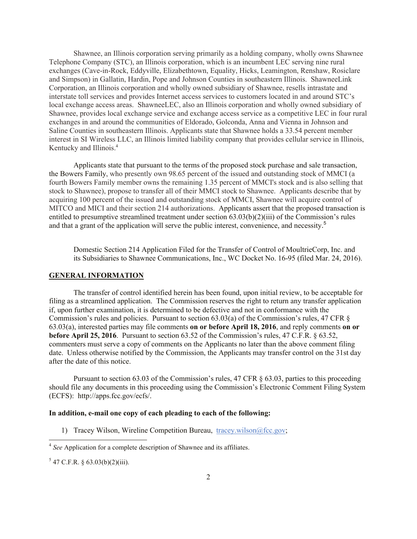Shawnee, an Illinois corporation serving primarily as a holding company, wholly owns Shawnee Telephone Company (STC), an Illinois corporation, which is an incumbent LEC serving nine rural exchanges (Cave-in-Rock, Eddyville, Elizabethtown, Equality, Hicks, Leamington, Renshaw, Rosiclare and Simpson) in Gallatin, Hardin, Pope and Johnson Counties in southeastern Illinois. ShawneeLink Corporation, an Illinois corporation and wholly owned subsidiary of Shawnee, resells intrastate and interstate toll services and provides Internet access services to customers located in and around STC's local exchange access areas. ShawneeLEC, also an Illinois corporation and wholly owned subsidiary of Shawnee, provides local exchange service and exchange access service as a competitive LEC in four rural exchanges in and around the communities of Eldorado, Golconda, Anna and Vienna in Johnson and Saline Counties in southeastern Illinois. Applicants state that Shawnee holds a 33.54 percent member interest in SI Wireless LLC, an Illinois limited liability company that provides cellular service in Illinois, Kentucky and Illinois.<sup>4</sup>

Applicants state that pursuant to the terms of the proposed stock purchase and sale transaction, the Bowers Family, who presently own 98.65 percent of the issued and outstanding stock of MMCI (a fourth Bowers Family member owns the remaining 1.35 percent of MMCI's stock and is also selling that stock to Shawnee), propose to transfer all of their MMCI stock to Shawnee. Applicants describe that by acquiring 100 percent of the issued and outstanding stock of MMCI, Shawnee will acquire control of MITCO and MICI and their section 214 authorizations. Applicants assert that the proposed transaction is entitled to presumptive streamlined treatment under section 63.03(b)(2)(iii) of the Commission's rules and that a grant of the application will serve the public interest, convenience, and necessity.<sup>5</sup>

Domestic Section 214 Application Filed for the Transfer of Control of MoultrieCorp, Inc. and its Subsidiaries to Shawnee Communications, Inc., WC Docket No. 16-95 (filed Mar. 24, 2016).

#### **GENERAL INFORMATION**

The transfer of control identified herein has been found, upon initial review, to be acceptable for filing as a streamlined application. The Commission reserves the right to return any transfer application if, upon further examination, it is determined to be defective and not in conformance with the Commission's rules and policies. Pursuant to section  $63.03(a)$  of the Commission's rules, 47 CFR  $\S$ 63.03(a), interested parties may file comments **on or before April 18, 2016**, and reply comments **on or before April 25, 2016**. Pursuant to section 63.52 of the Commission's rules, 47 C.F.R. § 63.52, commenters must serve a copy of comments on the Applicants no later than the above comment filing date. Unless otherwise notified by the Commission, the Applicants may transfer control on the 31st day after the date of this notice.

Pursuant to section 63.03 of the Commission's rules, 47 CFR § 63.03, parties to this proceeding should file any documents in this proceeding using the Commission's Electronic Comment Filing System (ECFS): http://apps.fcc.gov/ecfs/.

#### **In addition, e-mail one copy of each pleading to each of the following:**

1) Tracey Wilson, Wireline Competition Bureau, tracey.wilson@fcc.gov;

 4 *See* Application for a complete description of Shawnee and its affiliates.

 $5$  47 C.F.R. § 63.03(b)(2)(iii).